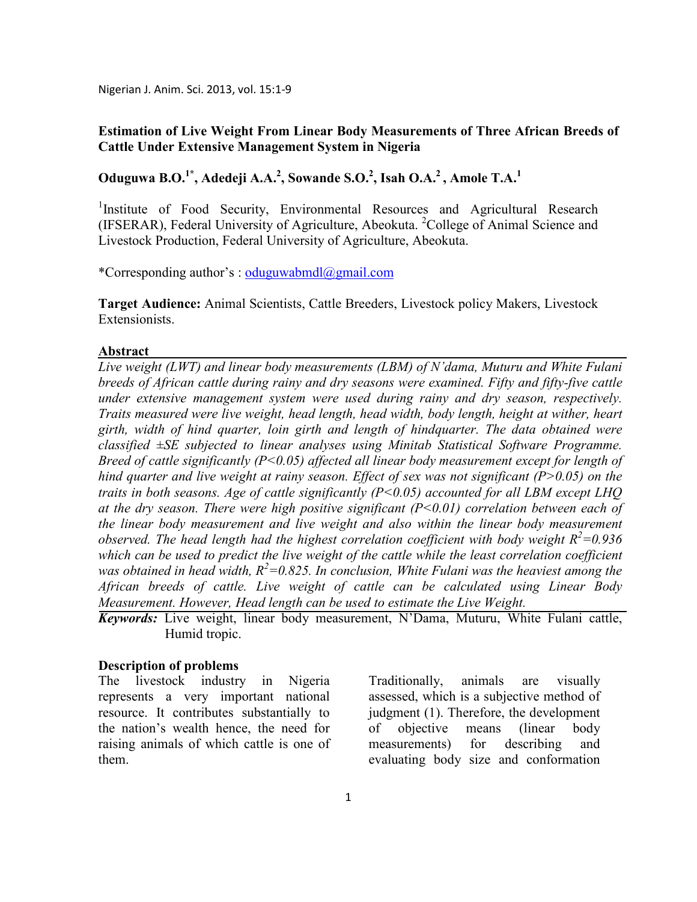Nigerian J. Anim. Sci. 2013, vol. 15:1-9

## **Estimation of Live Weight From Linear Body Measurements of Three African Breeds of Cattle Under Extensive Management System in Nigeria**

**Oduguwa B.O.1\*, Adedeji A.A.<sup>2</sup> , Sowande S.O.<sup>2</sup> , Isah O.A.<sup>2</sup>, Amole T.A.<sup>1</sup>**

<sup>1</sup>Institute of Food Security, Environmental Resources and Agricultural Research (IFSERAR), Federal University of Agriculture, Abeokuta. <sup>2</sup>College of Animal Science and Livestock Production, Federal University of Agriculture, Abeokuta.

\*Corresponding author's : oduguwabmdl@gmail.com

**Target Audience:** Animal Scientists, Cattle Breeders, Livestock policy Makers, Livestock **Extensionists** 

#### **Abstract**

*Live weight (LWT) and linear body measurements (LBM) of 'dama, Muturu and White Fulani breeds of African cattle during rainy and dry seasons were examined. Fifty and fifty-five cattle under extensive management system were used during rainy and dry season, respectively. Traits measured were live weight, head length, head width, body length, height at wither, heart girth, width of hind quarter, loin girth and length of hindquarter. The data obtained were classified ±SE subjected to linear analyses using Minitab Statistical Software Programme. Breed of cattle significantly (P<0.05) affected all linear body measurement except for length of hind quarter and live weight at rainy season. Effect of sex was not significant (P>0.05) on the traits in both seasons. Age of cattle significantly (P<0.05) accounted for all LBM except LHQ at the dry season. There were high positive significant (P<0.01) correlation between each of the linear body measurement and live weight and also within the linear body measurement observed. The head length had the highest correlation coefficient with body weight R<sup>2</sup>=0.936 which can be used to predict the live weight of the cattle while the least correlation coefficient was obtained in head width,*  $R^2 = 0.825$ . In conclusion, White Fulani was the heaviest among the *African breeds of cattle. Live weight of cattle can be calculated using Linear Body Measurement. However, Head length can be used to estimate the Live Weight.* 

*Keywords:* Live weight, linear body measurement, N'Dama, Muturu, White Fulani cattle, Humid tropic.

#### **Description of problems**

The livestock industry in Nigeria represents a very important national resource. It contributes substantially to the nation's wealth hence, the need for raising animals of which cattle is one of them.

Traditionally, animals are visually assessed, which is a subjective method of judgment (1). Therefore, the development of objective means (linear body measurements) for describing and evaluating body size and conformation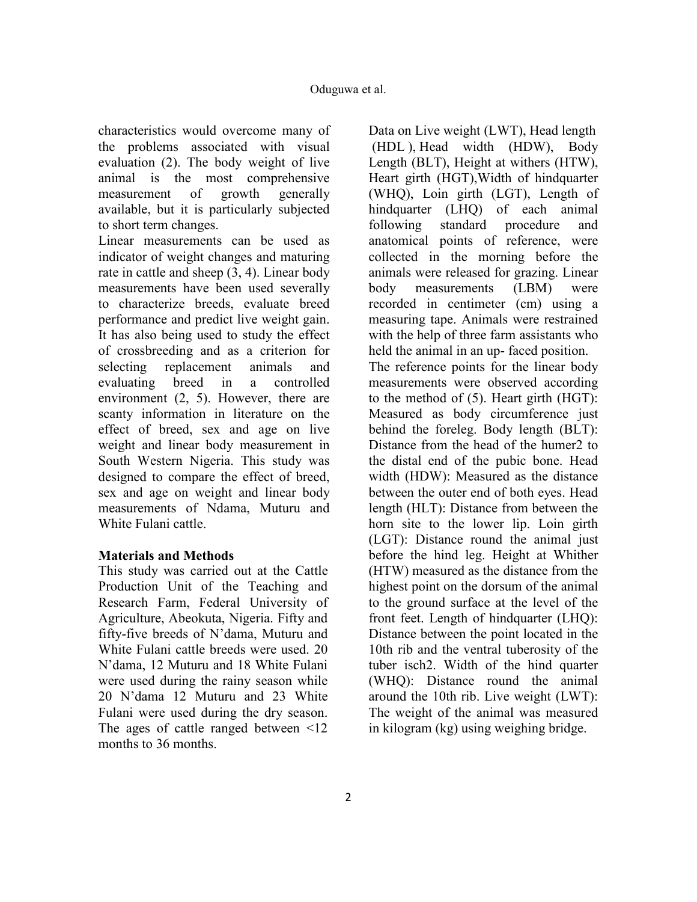characteristics would overcome many of the problems associated with visual evaluation (2). The body weight of live animal is the most comprehensive<br>measurement of growth generally measurement of growth generally available, but it is particularly subjected to short term changes.

Linear measurements can be used as indicator of weight changes and maturing rate in cattle and sheep (3, 4). Linear body measurements have been used severally to characterize breeds, evaluate breed performance and predict live weight gain. It has also being used to study the effect of crossbreeding and as a criterion for selecting replacement animals and evaluating breed in a controlled environment (2, 5). However, there are scanty information in literature on the effect of breed, sex and age on live weight and linear body measurement in South Western Nigeria. This study was designed to compare the effect of breed, sex and age on weight and linear body measurements of Ndama, Muturu and White Fulani cattle.

## **Materials and Methods**

This study was carried out at the Cattle Production Unit of the Teaching and Research Farm, Federal University of Agriculture, Abeokuta, Nigeria. Fifty and fifty-five breeds of N'dama, Muturu and White Fulani cattle breeds were used. 20 N'dama, 12 Muturu and 18 White Fulani were used during the rainy season while 20 N'dama 12 Muturu and 23 White Fulani were used during the dry season. The ages of cattle ranged between <12 months to 36 months.

Data on Live weight (LWT), Head length (HDL ), Head width (HDW), Body Length (BLT), Height at withers (HTW), Heart girth (HGT),Width of hindquarter (WHQ), Loin girth (LGT), Length of hindquarter (LHQ) of each animal following standard procedure and anatomical points of reference, were collected in the morning before the animals were released for grazing. Linear body measurements (LBM) were recorded in centimeter (cm) using a measuring tape. Animals were restrained with the help of three farm assistants who held the animal in an up- faced position. The reference points for the linear body measurements were observed according to the method of (5). Heart girth (HGT): Measured as body circumference just behind the foreleg. Body length (BLT): Distance from the head of the humer2 to the distal end of the pubic bone. Head width (HDW): Measured as the distance between the outer end of both eyes. Head length (HLT): Distance from between the horn site to the lower lip. Loin girth (LGT): Distance round the animal just before the hind leg. Height at Whither (HTW) measured as the distance from the highest point on the dorsum of the animal to the ground surface at the level of the front feet. Length of hindquarter (LHQ): Distance between the point located in the 10th rib and the ventral tuberosity of the tuber isch2. Width of the hind quarter (WHQ): Distance round the animal around the 10th rib. Live weight (LWT): The weight of the animal was measured in kilogram (kg) using weighing bridge.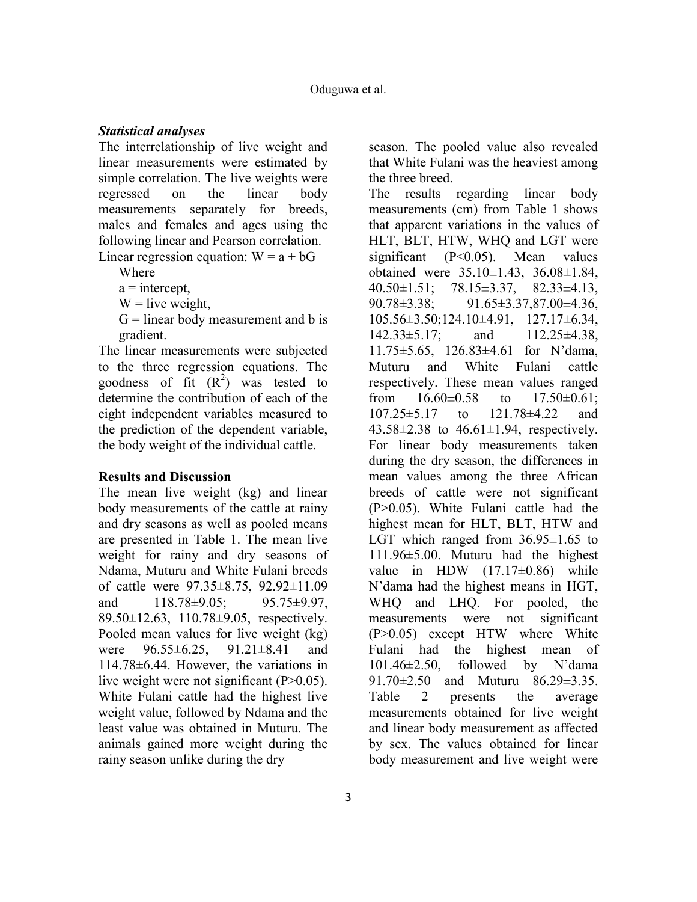### *Statistical analyses*

The interrelationship of live weight and linear measurements were estimated by simple correlation. The live weights were regressed on the linear body measurements separately for breeds, males and females and ages using the following linear and Pearson correlation. Linear regression equation:  $W = a + bG$ 

Where

 $a =$ intercept,

 $W =$ live weight,

 $G =$  linear body measurement and b is gradient.

The linear measurements were subjected to the three regression equations. The goodness of fit  $(R^2)$  was tested to determine the contribution of each of the eight independent variables measured to the prediction of the dependent variable, the body weight of the individual cattle.

## **Results and Discussion**

The mean live weight (kg) and linear body measurements of the cattle at rainy and dry seasons as well as pooled means are presented in Table 1. The mean live weight for rainy and dry seasons of Ndama, Muturu and White Fulani breeds of cattle were 97.35±8.75, 92.92±11.09 and 118.78±9.05; 95.75±9.97, 89.50±12.63, 110.78±9.05, respectively. Pooled mean values for live weight (kg) were 96.55±6.25, 91.21±8.41 and 114.78±6.44. However, the variations in live weight were not significant (P>0.05). White Fulani cattle had the highest live weight value, followed by Ndama and the least value was obtained in Muturu. The animals gained more weight during the rainy season unlike during the dry

season. The pooled value also revealed that White Fulani was the heaviest among the three breed.

The results regarding linear body measurements (cm) from Table 1 shows that apparent variations in the values of HLT, BLT, HTW, WHQ and LGT were significant (P<0.05). Mean values obtained were 35.10±1.43, 36.08±1.84, 40.50±1.51; 78.15±3.37, 82.33±4.13, 90.78±3.38; 91.65±3.37,87.00±4.36, 105.56±3.50;124.10±4.91, 127.17±6.34, 142.33±5.17; and 112.25±4.38, 11.75±5.65, 126.83±4.61 for N'dama, Muturu and White Fulani cattle respectively. These mean values ranged from  $16.60\pm0.58$  to  $17.50\pm0.61$ ; 107.25±5.17 to 121.78±4.22 and  $43.58\pm2.38$  to  $46.61\pm1.94$ , respectively. For linear body measurements taken during the dry season, the differences in mean values among the three African breeds of cattle were not significant (P>0.05). White Fulani cattle had the highest mean for HLT, BLT, HTW and LGT which ranged from  $36.95\pm1.65$  to 111.96±5.00. Muturu had the highest value in HDW  $(17.17\pm0.86)$  while N'dama had the highest means in HGT, WHQ and LHQ. For pooled, the measurements were not significant (P>0.05) except HTW where White Fulani had the highest mean of 101.46±2.50, followed by N'dama 91.70±2.50 and Muturu 86.29±3.35. Table 2 presents the average measurements obtained for live weight and linear body measurement as affected by sex. The values obtained for linear body measurement and live weight were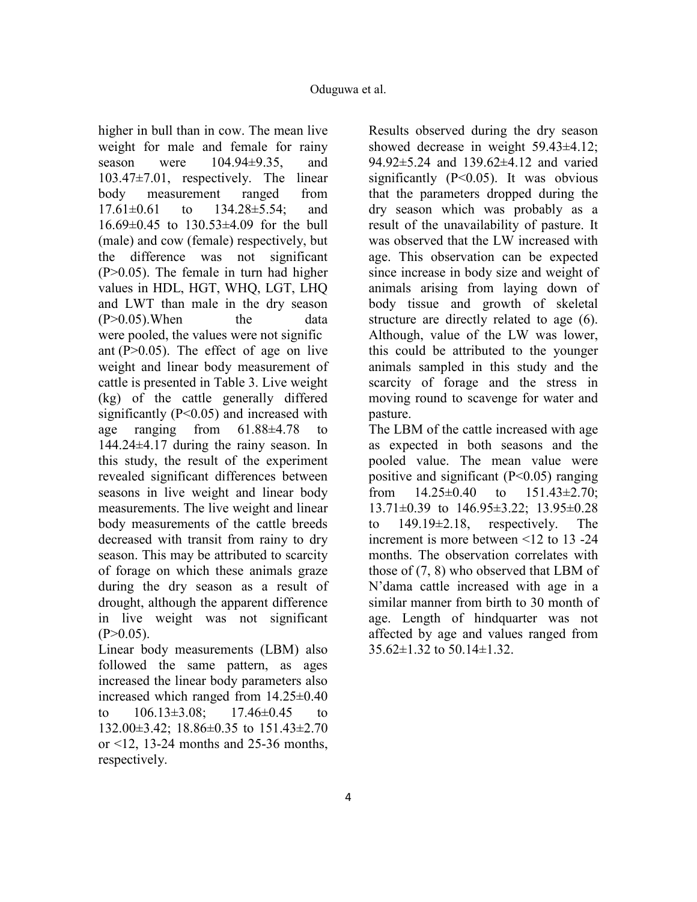higher in bull than in cow. The mean live weight for male and female for rainy season were  $104.94\pm9.35$ , and 103.47±7.01, respectively. The linear body measurement ranged from 17.61±0.61 to 134.28±5.54; and 16.69±0.45 to 130.53±4.09 for the bull (male) and cow (female) respectively, but the difference was not significant (P>0.05). The female in turn had higher values in HDL, HGT, WHQ, LGT, LHQ and LWT than male in the dry season  $(P>0.05)$ . When the data were pooled, the values were not signific ant  $(P>0.05)$ . The effect of age on live weight and linear body measurement of cattle is presented in Table 3. Live weight (kg) of the cattle generally differed significantly  $(P<0.05)$  and increased with age ranging from 61.88±4.78 to 144.24±4.17 during the rainy season. In this study, the result of the experiment revealed significant differences between seasons in live weight and linear body measurements. The live weight and linear body measurements of the cattle breeds decreased with transit from rainy to dry season. This may be attributed to scarcity of forage on which these animals graze during the dry season as a result of drought, although the apparent difference in live weight was not significant  $(P>0.05)$ .

Linear body measurements (LBM) also followed the same pattern, as ages increased the linear body parameters also increased which ranged from 14.25±0.40 to  $106.13\pm3.08$ ;  $17.46\pm0.45$  to 132.00±3.42; 18.86±0.35 to 151.43±2.70 or  $\leq$ 12, 13-24 months and 25-36 months, respectively.

Results observed during the dry season showed decrease in weight 59.43±4.12; 94.92±5.24 and 139.62±4.12 and varied significantly  $(P<0.05)$ . It was obvious that the parameters dropped during the dry season which was probably as a result of the unavailability of pasture. It was observed that the LW increased with age. This observation can be expected since increase in body size and weight of animals arising from laying down of body tissue and growth of skeletal structure are directly related to age (6). Although, value of the LW was lower, this could be attributed to the younger animals sampled in this study and the scarcity of forage and the stress in moving round to scavenge for water and pasture.

The LBM of the cattle increased with age as expected in both seasons and the pooled value. The mean value were positive and significant  $(P<0.05)$  ranging from  $14.25\pm0.40$  to  $151.43\pm2.70$ ; 13.71±0.39 to 146.95±3.22; 13.95±0.28 to 149.19±2.18, respectively. The increment is more between <12 to 13 -24 months. The observation correlates with those of (7, 8) who observed that LBM of N'dama cattle increased with age in a similar manner from birth to 30 month of age. Length of hindquarter was not affected by age and values ranged from 35.62±1.32 to 50.14±1.32.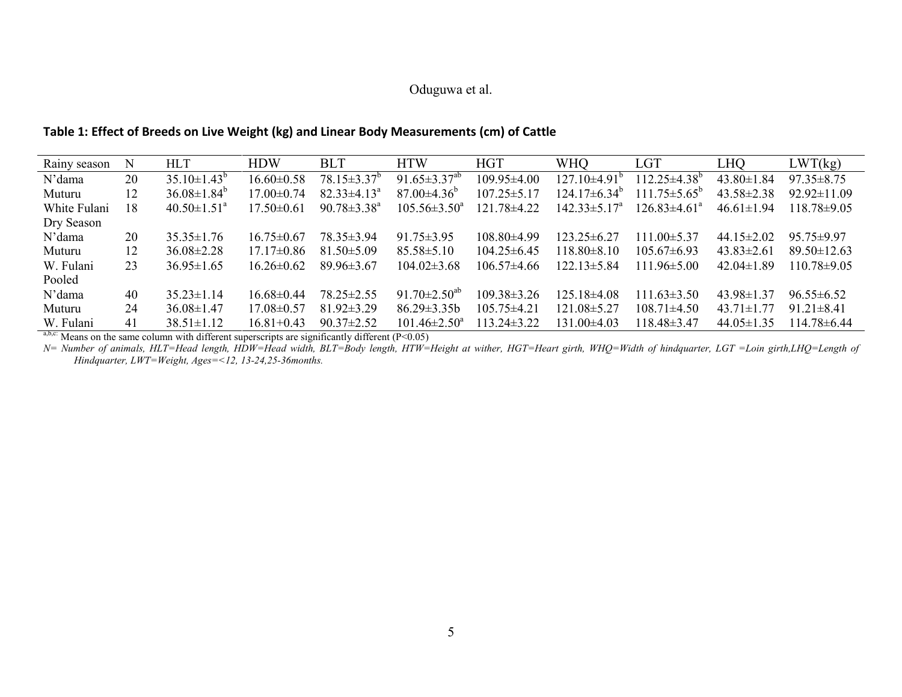## **Table 1: Effect of Breeds on Live Weight (kg) and Linear Body Measurements (cm) of Cattle**

| Rainy season | Ν  | <b>HLT</b>                    | <b>HDW</b>       | <b>BLT</b>               | <b>HTW</b>                     | <b>HGT</b>        | <b>WHO</b>                | LGT                       | LHQ              | LWT(kg)           |
|--------------|----|-------------------------------|------------------|--------------------------|--------------------------------|-------------------|---------------------------|---------------------------|------------------|-------------------|
| N'dama       | 20 | $35.10 \pm 1.43^b$            | $16.60 \pm 0.58$ | $78.15 \pm 3.37^{\circ}$ | 91.65 $\pm$ 3.37 <sup>ab</sup> | $109.95 \pm 4.00$ | $127.10\pm4.91^{\circ}$   | $112.25 \pm 4.38^{\circ}$ | $43.80 \pm 1.84$ | $97.35 \pm 8.75$  |
| Muturu       | 12 | $36.08 \pm 1.84^b$            | $17.00 \pm 0.74$ | $82.33 \pm 4.13^{\circ}$ | $87.00\pm4.36^{\circ}$         | $107.25 \pm 5.17$ | $124.17\pm6.34^{\circ}$   | $111.75 \pm 5.65^{\circ}$ | $43.58 \pm 2.38$ | $92.92 \pm 11.09$ |
| White Fulani | 18 | $40.50 \pm 1.51$ <sup>a</sup> | $17.50 \pm 0.61$ | $90.78 \pm 3.38^a$       | $105.56 \pm 3.50^a$            | 121.78±4.22       | $142.33 \pm 5.17^{\circ}$ | $126.83\pm4.61^{\circ}$   | $46.61 \pm 1.94$ | 118.78±9.05       |
| Dry Season   |    |                               |                  |                          |                                |                   |                           |                           |                  |                   |
| N'dama       | 20 | $35.35 \pm 1.76$              | $16.75 \pm 0.67$ | 78.35 ± 3.94             | $91.75 \pm 3.95$               | $108.80\pm4.99$   | $123.25 \pm 6.27$         | $111.00 \pm 5.37$         | 44.15 $\pm$ 2.02 | $95.75 \pm 9.97$  |
| Muturu       | 12 | $36.08 \pm 2.28$              | $17.17\pm0.86$   | $81.50 \pm 5.09$         | $85.58 \pm 5.10$               | $104.25 \pm 6.45$ | $118.80\pm8.10$           | $105.67\pm 6.93$          | $43.83 \pm 2.61$ | $89.50 \pm 12.63$ |
| W. Fulani    | 23 | $36.95 \pm 1.65$              | $16.26 \pm 0.62$ | $89.96\pm3.67$           | $104.02 \pm 3.68$              | $106.57\pm4.66$   | $122.13 \pm 5.84$         | $111.96 \pm 5.00$         | $42.04\pm1.89$   | 110.78±9.05       |
| Pooled       |    |                               |                  |                          |                                |                   |                           |                           |                  |                   |
| N'dama       | 40 | $35.23 \pm 1.14$              | $16.68 \pm 0.44$ | $78.25 \pm 2.55$         | 91.70 $\pm$ 2.50 <sup>ab</sup> | $109.38 \pm 3.26$ | $125.18\pm4.08$           | $111.63 \pm 3.50$         | $43.98 \pm 1.37$ | $96.55 \pm 6.52$  |
| Muturu       | 24 | $36.08\pm1.47$                | $17.08\pm0.57$   | $81.92 \pm 3.29$         | $86.29 \pm 3.35b$              | $105.75 \pm 4.21$ | $121.08 \pm 5.27$         | $108.71\pm4.50$           | $43.71 \pm 1.77$ | $91.21 \pm 8.41$  |
| W. Fulani    | 41 | $38.51 \pm 1.12$              | $16.81 + 0.43$   | $90.37 \pm 2.52$         | $101.46 \pm 2.50^a$            | $13.24 \pm 3.22$  | $131.00\pm4.03$           | 118.48±3.47               | $44.05 \pm 1.35$ | 114.78±6.44       |

a,b,c: Means on the same column with different superscripts are significantly different (P<0.05)<br>N= Number of animals, HLT=Head length, HDW=Head width, BLT=Body length, HTW=Height at wither, HGT=Heart girth, WHQ=Width of h *Hindquarter, LWT=Weight, Ages=<12, 13-24,25-36months.*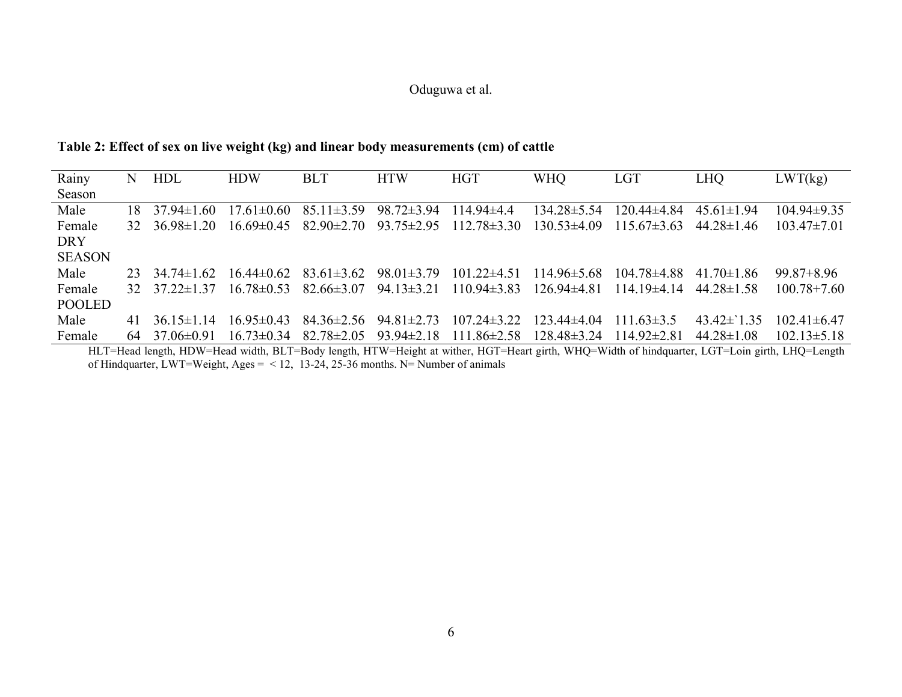## **Table 2: Effect of sex on live weight (kg) and linear body measurements (cm) of cattle**

| Rainy         | N  | HDL                       | <b>HDW</b>       | <b>BLT</b>                    | <b>HTW</b>       | <b>HGT</b>        | <b>WHO</b>        | <b>LGT</b>      | <b>LHQ</b>       | LWT(kg)           |
|---------------|----|---------------------------|------------------|-------------------------------|------------------|-------------------|-------------------|-----------------|------------------|-------------------|
| Season        |    |                           |                  |                               |                  |                   |                   |                 |                  |                   |
| Male          | 18 | $37.94 \pm 1.60$          | $17.61 \pm 0.60$ | $85.11 \pm 3.59$              | $98.72 \pm 3.94$ | $114.94\pm4.4$    | $134.28 \pm 5.54$ | $120.44\pm4.84$ | $45.61 \pm 1.94$ | $104.94\pm9.35$   |
| Female        |    | $32 \quad 3698 \pm 120$   |                  | $16.69\pm0.45$ $82.90\pm2.70$ | $93.75 \pm 2.95$ | $112.78 \pm 3.30$ | $130.53\pm4.09$   | $115.67\pm3.63$ | $44.28 \pm 1.46$ | $103.47 \pm 7.01$ |
| <b>DRY</b>    |    |                           |                  |                               |                  |                   |                   |                 |                  |                   |
| <b>SEASON</b> |    |                           |                  |                               |                  |                   |                   |                 |                  |                   |
| Male          | 23 | $3474\pm162$              | $16\,44\pm0\,62$ | $83.61 \pm 3.62$              | $98.01 \pm 3.79$ | $101.22 \pm 4.51$ | $114.96 \pm 5.68$ | $10478\pm488$   | 41 70 $\pm$ 1 86 | $99.87 + 8.96$    |
| Female        |    | $32 \quad 37.22 \pm 1.37$ | $16.78\pm0.53$   | $82.66 \pm 3.07$              | $94.13 \pm 3.21$ | $110.94\pm3.83$   | $126.94\pm4.81$   | $114.19\pm4.14$ | $4428\pm1.58$    | $100.78 + 7.60$   |
| POOLED        |    |                           |                  |                               |                  |                   |                   |                 |                  |                   |
| Male          | 41 | 36 $15\pm1$ 14            | $16.95 \pm 0.43$ | $84.36 \pm 2.56$              | $94.81 \pm 2.73$ | $107.24 \pm 3.22$ | $123.44\pm4.04$   | $11163\pm3.5$   | 43.42 $\pm$ 1.35 | $102.41 \pm 6.47$ |
| Female        | 64 | $37.06\pm0.91$            | $1673\pm0.34$    | $82.78 \pm 2.05$              | $93.94 \pm 2.18$ | $111.86 \pm 2.58$ | $128.48 \pm 3.24$ | $114.92\pm2.81$ | $44.28\pm1.08$   | $102.13 \pm 5.18$ |

HLT=Head length, HDW=Head width, BLT=Body length, HTW=Height at wither, HGT=Heart girth, WHQ=Width of hindquarter, LGT=Loin girth, LHQ=Length<br>of Hindquarter, LWT=Weight, Ages = <12, 13-24, 25-36 months. N= Number of animal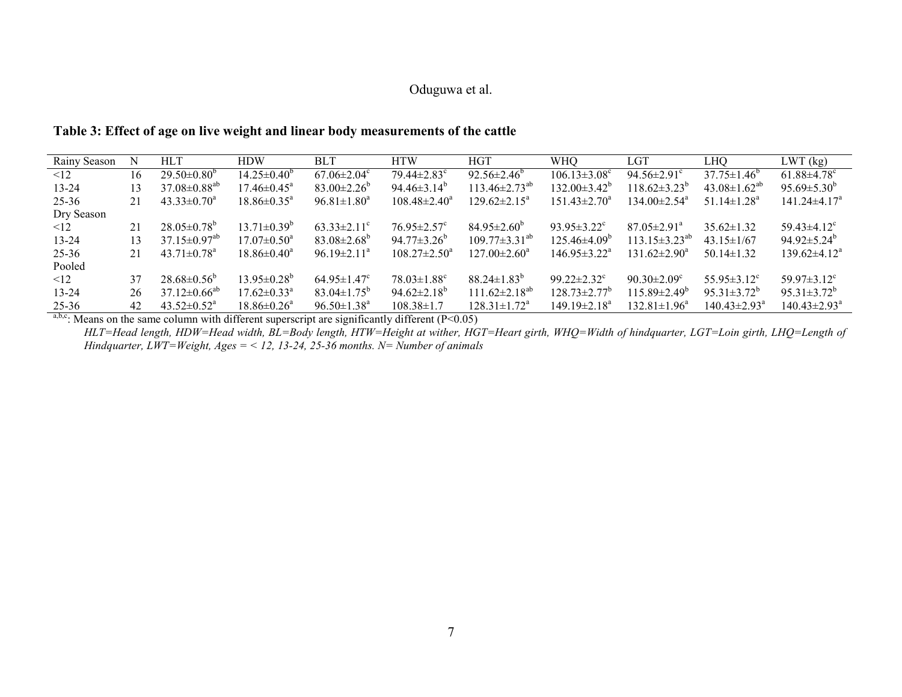## **Table 3: Effect of age on live weight and linear body measurements of the cattle**

| Rainy Season |    | <b>HLT</b>                     | <b>HDW</b>                    | BLT.                          | <b>HTW</b>                    | <b>HGT</b>                   | <b>WHO</b>                     | LGT                            | LHO                            | LWT (kg)                       |
|--------------|----|--------------------------------|-------------------------------|-------------------------------|-------------------------------|------------------------------|--------------------------------|--------------------------------|--------------------------------|--------------------------------|
| $\leq$ 12    | 16 | $29.50\pm0.80^b$               | $14.25 \pm 0.40^{\circ}$      | $67.06 \pm 2.04$ <sup>c</sup> | $79.44 \pm 2.83$ <sup>c</sup> | $92.56 \pm 2.46^{\circ}$     | $106.13 \pm 3.08$ <sup>c</sup> | $94.56 \pm 2.91$ <sup>c</sup>  | $37.75 \pm 1.46^{\circ}$       | $61.88 \pm 4.78$ <sup>c</sup>  |
| $13 - 24$    | 13 | $37.08 \pm 0.88$ <sup>ab</sup> | $17.46 \pm 0.45^{\circ}$      | $83.00 \pm 2.26^{\circ}$      | $94.46\pm3.14^{\circ}$        | $113.46 \pm 2.73^{20}$       | $132.00\pm3.42^{\circ}$        | $118.62\pm3.23^{\circ}$        | 43.08 $\pm$ 1.62 <sup>ab</sup> | 95.69 $\pm$ 5.30 <sup>b</sup>  |
| 25-36        | 21 | $43.33 \pm 0.70^a$             | $18.86 \pm 0.35^{\circ}$      | $96.81 \pm 1.80^a$            | $108.48 \pm 2.40^a$           | $129.62 \pm 2.15^{\text{a}}$ | $151.43 \pm 2.70^a$            | $134.00 \pm 2.54$ <sup>a</sup> | 51.14 $\pm$ 1.28 <sup>a</sup>  | $141.24 \pm 4.17^a$            |
| Dry Season   |    |                                |                               |                               |                               |                              |                                |                                |                                |                                |
| $\leq$ 12    | 21 | $28.05\pm0.78^{\circ}$         | $13.71 \pm 0.39^b$            | $63.33 \pm 2.11^{\circ}$      | $76.95 \pm 2.57$ <sup>c</sup> | $84.95 \pm 2.60^{\circ}$     | $93.95 \pm 3.22$ <sup>c</sup>  | $87.05 \pm 2.91$ <sup>a</sup>  | $35.62 \pm 1.32$               | 59.43 $\pm$ 4.12 <sup>c</sup>  |
| $13 - 24$    | 13 | $37.15 \pm 0.97^{ab}$          | $17.07 \pm 0.50^{\circ}$      | $83.08 \pm 2.68^{\circ}$      | $94.77 \pm 3.26^{\circ}$      | $109.77 \pm 3.31^{ab}$       | $125.46\pm4.09^{\circ}$        | $113.15 \pm 3.23^{ab}$         | $43.15 \pm 1/67$               | $94.92 \pm 5.24^{\circ}$       |
| 25-36        | 21 | $43.71 \pm 0.78$ <sup>a</sup>  | $18.86 \pm 0.40^a$            | $96.19 \pm 2.11^a$            | $108.27 \pm 2.50^a$           | $127.00 \pm 2.60^{\circ}$    | $146.95 \pm 3.22^{\text{a}}$   | 131 $62\pm2.90^{\circ}$        | $50.14 \pm 1.32$               | $139.62\pm4.12^a$              |
| Pooled       |    |                                |                               |                               |                               |                              |                                |                                |                                |                                |
| $\leq$ 12    | 37 | $28.68\pm0.56^{\circ}$         | $13.95 \pm 0.28^b$            | $64.95 \pm 1.47$ <sup>c</sup> | $78.03 \pm 1.88$ <sup>c</sup> | $88.24 \pm 1.83^b$           | $99.22 \pm 2.32$ <sup>c</sup>  | $90.30 \pm 2.09$ <sup>c</sup>  | $55.95 \pm 3.12$ <sup>c</sup>  | 59.97 $\pm$ 3.12 $^{\circ}$    |
| $13 - 24$    | 26 | $37.12 \pm 0.66^{ab}$          | $17.62 \pm 0.33$ <sup>a</sup> | $83.04 \pm 1.75^{\circ}$      | $94.62 \pm 2.18^{\circ}$      | $111.62 \pm 2.18^{ab}$       | $128.73 \pm 2.77$ <sup>b</sup> | $115.89 \pm 2.49^{\circ}$      | $95.31 \pm 3.72^{\circ}$       | $95.31 \pm 3.72^b$             |
| 25-36        | 42 | $43.52 \pm 0.52^{\text{a}}$    | $18.86 \pm 0.26^{\circ}$      | $96.50 \pm 1.38$ <sup>a</sup> | $108.38 \pm 1.7$              | $128.31 \pm 1.72^{\text{a}}$ | $149.19 \pm 2.18^a$            | $132.81 \pm 1.96^a$            | $140.43 \pm 2.93$ <sup>a</sup> | $140.43 \pm 2.93$ <sup>a</sup> |

a,b,c: Means on the same column with different superscript are significantly different ( $P<0.05$ )

 *HLT=Head length, HDW=Head width, BL=Body length, HTW=Height at wither, HGT=Heart girth, WHQ=Width of hindquarter, LGT=Loin girth, LHQ=Length of Hindquarter, LWT=Weight, Ages = < 12, 13-24, 25-36 months. N= Number of animals*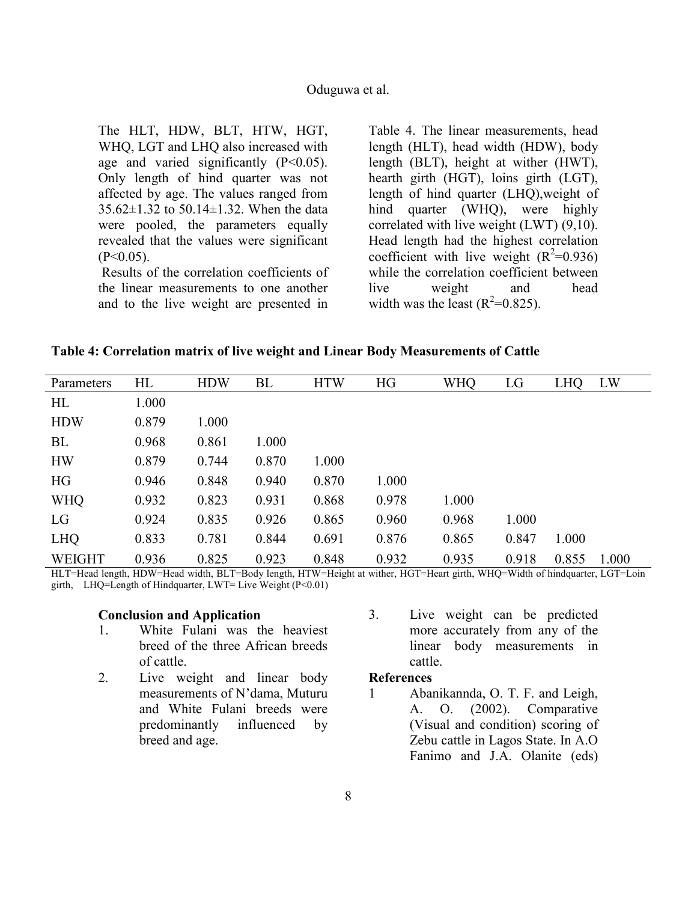The HLT, HDW, BLT, HTW, HGT, WHQ, LGT and LHQ also increased with age and varied significantly  $(P<0.05)$ . Only length of hind quarter was not affected by age. The values ranged from 35.62±1.32 to 50.14±1.32. When the data were pooled, the parameters equally revealed that the values were significant  $(P<0.05)$ .

Results of the correlation coefficients of the linear measurements to one another and to the live weight are presented in

Table 4. The linear measurements, head length (HLT), head width (HDW), body length (BLT), height at wither (HWT), hearth girth (HGT), loins girth (LGT), length of hind quarter (LHQ),weight of hind quarter (WHQ), were highly correlated with live weight (LWT) (9,10). Head length had the highest correlation coefficient with live weight  $(R^2=0.936)$ while the correlation coefficient between live weight and head width was the least  $(R^2=0.825)$ .

**Table 4: Correlation matrix of live weight and Linear Body Measurements of Cattle** 

| Parameters    | HL    | <b>HDW</b> | <b>BL</b> | <b>HTW</b> | HG    | <b>WHQ</b> | LG    | <b>LHQ</b> | LW    |
|---------------|-------|------------|-----------|------------|-------|------------|-------|------------|-------|
| HL            | 1.000 |            |           |            |       |            |       |            |       |
| <b>HDW</b>    | 0.879 | 1.000      |           |            |       |            |       |            |       |
| BL            | 0.968 | 0.861      | 1.000     |            |       |            |       |            |       |
| <b>HW</b>     | 0.879 | 0.744      | 0.870     | 1.000      |       |            |       |            |       |
| HG            | 0.946 | 0.848      | 0.940     | 0.870      | 1.000 |            |       |            |       |
| <b>WHQ</b>    | 0.932 | 0.823      | 0.931     | 0.868      | 0.978 | 1.000      |       |            |       |
| LG            | 0.924 | 0.835      | 0.926     | 0.865      | 0.960 | 0.968      | 1.000 |            |       |
| <b>LHQ</b>    | 0.833 | 0.781      | 0.844     | 0.691      | 0.876 | 0.865      | 0.847 | 1.000      |       |
| <b>WEIGHT</b> | 0.936 | 0.825      | 0.923     | 0.848      | 0.932 | 0.935      | 0.918 | 0.855      | 1.000 |

HLT=Head length, HDW=Head width, BLT=Body length, HTW=Height at wither, HGT=Heart girth, WHQ=Width of hindquarter, LGT=Loin girth, LHQ=Length of Hindquarter, LWT= Live Weight (P<0.01)

#### **Conclusion and Application**

- 1. White Fulani was the heaviest breed of the three African breeds of cattle.
- 2. Live weight and linear body measurements of N'dama, Muturu and White Fulani breeds were predominantly influenced by breed and age.
- 3. Live weight can be predicted more accurately from any of the linear body measurements in cattle.

### **References**

1 Abanikannda, O. T. F. and Leigh, A. O. (2002). Comparative (Visual and condition) scoring of Zebu cattle in Lagos State. In A.O Fanimo and J.A. Olanite (eds)